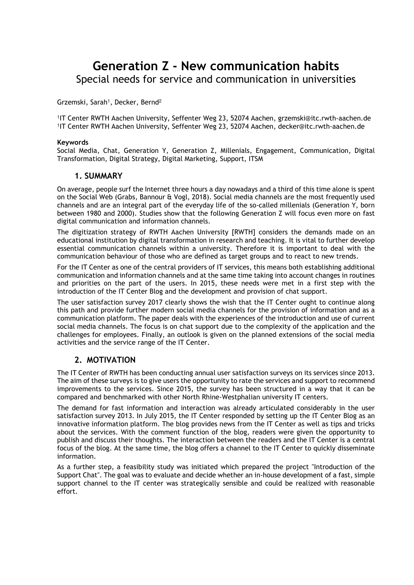# **Generation Z - New communication habits**  Special needs for service and communication in universities

Grzemski, Sarah<sup>1</sup>, Decker, Bernd<sup>2</sup>

1 IT Center RWTH Aachen University, Seffenter Weg 23, 52074 Aachen, grzemski@itc.rwth-aachen.de 1 IT Center RWTH Aachen University, Seffenter Weg 23, 52074 Aachen, decker@itc.rwth-aachen.de

#### **Keywords**

Social Media, Chat, Generation Y, Generation Z, Millenials, Engagement, Communication, Digital Transformation, Digital Strategy, Digital Marketing, Support, ITSM

### **1. SUMMARY**

On average, people surf the Internet three hours a day nowadays and a third of this time alone is spent on the Social Web (Grabs, Bannour & Vogl, 2018). Social media channels are the most frequently used channels and are an integral part of the everyday life of the so-called millenials (Generation Y, born between 1980 and 2000). Studies show that the following Generation Z will focus even more on fast digital communication and information channels.

The digitization strategy of RWTH Aachen University [RWTH] considers the demands made on an educational institution by digital transformation in research and teaching. It is vital to further develop essential communication channels within a university. Therefore it is important to deal with the communication behaviour of those who are defined as target groups and to react to new trends.

For the IT Center as one of the central providers of IT services, this means both establishing additional communication and information channels and at the same time taking into account changes in routines and priorities on the part of the users. In 2015, these needs were met in a first step with the introduction of the IT Center Blog and the development and provision of chat support.

The user satisfaction survey 2017 clearly shows the wish that the IT Center ought to continue along this path and provide further modern social media channels for the provision of information and as a communication platform. The paper deals with the experiences of the introduction and use of current social media channels. The focus is on chat support due to the complexity of the application and the challenges for employees. Finally, an outlook is given on the planned extensions of the social media activities and the service range of the IT Center.

### **2. MOTIVATION**

The IT Center of RWTH has been conducting annual user satisfaction surveys on its services since 2013. The aim of these surveys is to give users the opportunity to rate the services and support to recommend improvements to the services. Since 2015, the survey has been structured in a way that it can be compared and benchmarked with other North Rhine-Westphalian university IT centers.

The demand for fast information and interaction was already articulated considerably in the user satisfaction survey 2013. In July 2015, the IT Center responded by setting up the IT Center Blog as an innovative information platform. The blog provides news from the IT Center as well as tips and tricks about the services. With the comment function of the blog, readers were given the opportunity to publish and discuss their thoughts. The interaction between the readers and the IT Center is a central focus of the blog. At the same time, the blog offers a channel to the IT Center to quickly disseminate information.

As a further step, a feasibility study was initiated which prepared the project "Introduction of the Support Chat". The goal was to evaluate and decide whether an in-house development of a fast, simple support channel to the IT center was strategically sensible and could be realized with reasonable effort.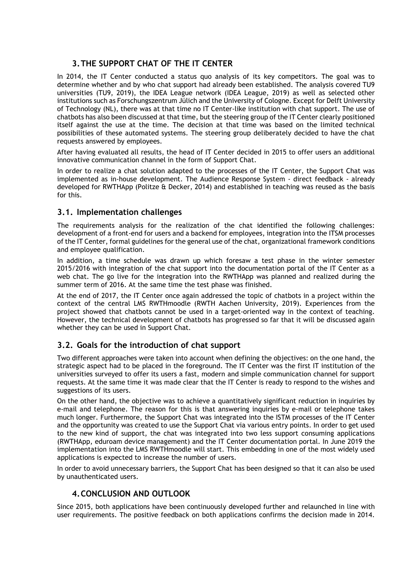# **3.THE SUPPORT CHAT OF THE IT CENTER**

In 2014, the IT Center conducted a status quo analysis of its key competitors. The goal was to determine whether and by who chat support had already been established. The analysis covered TU9 universities (TU9, 2019), the IDEA League network (IDEA League, 2019) as well as selected other institutions such as Forschungszentrum Jülich and the University of Cologne. Except for Delft University of Technology (NL), there was at that time no IT Center-like institution with chat support. The use of chatbots has also been discussed at that time, but the steering group of the IT Center clearly positioned itself against the use at the time. The decision at that time was based on the limited technical possibilities of these automated systems. The steering group deliberately decided to have the chat requests answered by employees.

After having evaluated all results, the head of IT Center decided in 2015 to offer users an additional innovative communication channel in the form of Support Chat.

In order to realize a chat solution adapted to the processes of the IT Center, the Support Chat was implemented as in-house development. The Audience Response System - direct feedback - already developed for RWTHApp (Politze & Decker, 2014) and established in teaching was reused as the basis for this.

## **3.1. Implementation challenges**

The requirements analysis for the realization of the chat identified the following challenges: development of a front-end for users and a backend for employees, integration into the ITSM processes of the IT Center, formal guidelines for the general use of the chat, organizational framework conditions and employee qualification.

In addition, a time schedule was drawn up which foresaw a test phase in the winter semester 2015/2016 with integration of the chat support into the documentation portal of the IT Center as a web chat. The go live for the integration into the RWTHApp was planned and realized during the summer term of 2016. At the same time the test phase was finished.

At the end of 2017, the IT Center once again addressed the topic of chatbots in a project within the context of the central LMS RWTHmoodle (RWTH Aachen University, 2019). Experiences from the project showed that chatbots cannot be used in a target-oriented way in the context of teaching. However, the technical development of chatbots has progressed so far that it will be discussed again whether they can be used in Support Chat.

## **3.2. Goals for the introduction of chat support**

Two different approaches were taken into account when defining the objectives: on the one hand, the strategic aspect had to be placed in the foreground. The IT Center was the first IT institution of the universities surveyed to offer its users a fast, modern and simple communication channel for support requests. At the same time it was made clear that the IT Center is ready to respond to the wishes and suggestions of its users.

On the other hand, the objective was to achieve a quantitatively significant reduction in inquiries by e-mail and telephone. The reason for this is that answering inquiries by e-mail or telephone takes much longer. Furthermore, the Support Chat was integrated into the ISTM processes of the IT Center and the opportunity was created to use the Support Chat via various entry points. In order to get used to the new kind of support, the chat was integrated into two less support consuming applications (RWTHApp, eduroam device management) and the IT Center documentation portal. In June 2019 the implementation into the LMS RWTHmoodle will start. This embedding in one of the most widely used applications is expected to increase the number of users.

In order to avoid unnecessary barriers, the Support Chat has been designed so that it can also be used by unauthenticated users.

## **4.CONCLUSION AND OUTLOOK**

Since 2015, both applications have been continuously developed further and relaunched in line with user requirements. The positive feedback on both applications confirms the decision made in 2014.